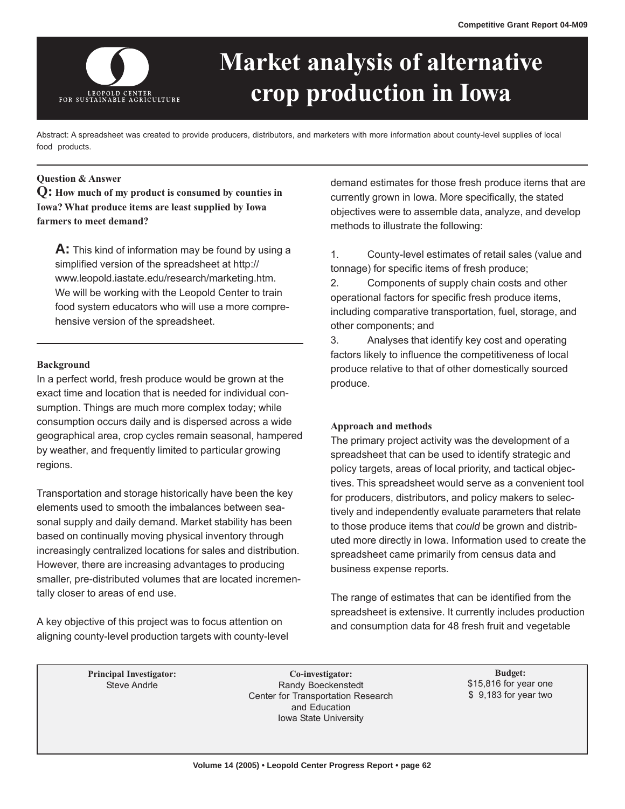

# **Market analysis of alternative crop production in Iowa**

Abstract: A spreadsheet was created to provide producers, distributors, and marketers with more information about county-level supplies of local food products.

## **Question & Answer**

**Q: How much of my product is consumed by counties in Iowa? What produce items are least supplied by Iowa farmers to meet demand?** 

**A:** This kind of information may be found by using a simplified version of the spreadsheet at http:// www.leopold.iastate.edu/research/marketing.htm. We will be working with the Leopold Center to train food system educators who will use a more comprehensive version of the spreadsheet.

## **Background**

In a perfect world, fresh produce would be grown at the exact time and location that is needed for individual consumption. Things are much more complex today; while consumption occurs daily and is dispersed across a wide geographical area, crop cycles remain seasonal, hampered by weather, and frequently limited to particular growing regions.

Transportation and storage historically have been the key elements used to smooth the imbalances between seasonal supply and daily demand. Market stability has been based on continually moving physical inventory through increasingly centralized locations for sales and distribution. However, there are increasing advantages to producing smaller, pre-distributed volumes that are located incrementally closer to areas of end use.

A key objective of this project was to focus attention on aligning county-level production targets with county-level demand estimates for those fresh produce items that are currently grown in Iowa. More specifically, the stated objectives were to assemble data, analyze, and develop methods to illustrate the following:

1. County-level estimates of retail sales (value and tonnage) for specific items of fresh produce;

2. Components of supply chain costs and other operational factors for specific fresh produce items, including comparative transportation, fuel, storage, and other components; and

3. Analyses that identify key cost and operating factors likely to influence the competitiveness of local produce relative to that of other domestically sourced produce.

## **Approach and methods**

The primary project activity was the development of a spreadsheet that can be used to identify strategic and policy targets, areas of local priority, and tactical objectives. This spreadsheet would serve as a convenient tool for producers, distributors, and policy makers to selectively and independently evaluate parameters that relate to those produce items that *could* be grown and distributed more directly in Iowa. Information used to create the spreadsheet came primarily from census data and business expense reports.

The range of estimates that can be identified from the spreadsheet is extensive. It currently includes production and consumption data for 48 fresh fruit and vegetable

Principal Investigator: **Budget:** Co-investigator: **Budget:** Budget: **Budget: Budget: Co-investigator: Budget: Budget: Budget: Budget: Budget: Budget: Budget: Budget: Budget: Budget: Budget: Bud** Randy Boeckenstedt Center for Transportation Research and Education Iowa State University

\$15,816 for year one \$ 9,183 for year two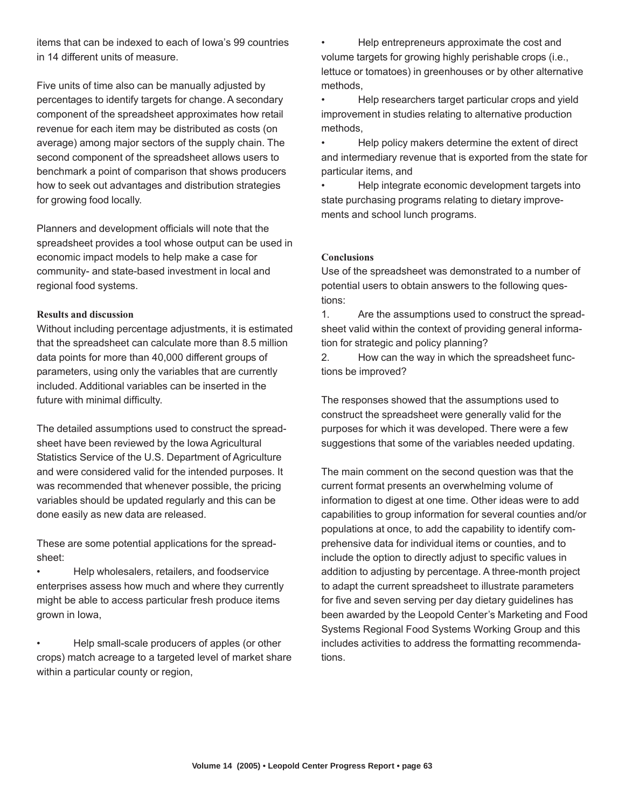items that can be indexed to each of Iowa's 99 countries in 14 different units of measure.

Five units of time also can be manually adjusted by percentages to identify targets for change. A secondary component of the spreadsheet approximates how retail revenue for each item may be distributed as costs (on average) among major sectors of the supply chain. The second component of the spreadsheet allows users to benchmark a point of comparison that shows producers how to seek out advantages and distribution strategies for growing food locally.

Planners and development officials will note that the spreadsheet provides a tool whose output can be used in economic impact models to help make a case for community- and state-based investment in local and regional food systems.

# **Results and discussion**

Without including percentage adjustments, it is estimated that the spreadsheet can calculate more than 8.5 million data points for more than 40,000 different groups of parameters, using only the variables that are currently included. Additional variables can be inserted in the future with minimal difficulty.

The detailed assumptions used to construct the spreadsheet have been reviewed by the Iowa Agricultural Statistics Service of the U.S. Department of Agriculture and were considered valid for the intended purposes. It was recommended that whenever possible, the pricing variables should be updated regularly and this can be done easily as new data are released.

These are some potential applications for the spreadsheet:

• Help wholesalers, retailers, and foodservice enterprises assess how much and where they currently might be able to access particular fresh produce items grown in Iowa,

• Help small-scale producers of apples (or other crops) match acreage to a targeted level of market share within a particular county or region,

• Help entrepreneurs approximate the cost and volume targets for growing highly perishable crops (i.e., lettuce or tomatoes) in greenhouses or by other alternative methods,

• Help researchers target particular crops and yield improvement in studies relating to alternative production methods,

• Help policy makers determine the extent of direct and intermediary revenue that is exported from the state for particular items, and

• Help integrate economic development targets into state purchasing programs relating to dietary improvements and school lunch programs.

## **Conclusions**

Use of the spreadsheet was demonstrated to a number of potential users to obtain answers to the following questions:

1. Are the assumptions used to construct the spreadsheet valid within the context of providing general information for strategic and policy planning?

2. How can the way in which the spreadsheet functions be improved?

The responses showed that the assumptions used to construct the spreadsheet were generally valid for the purposes for which it was developed. There were a few suggestions that some of the variables needed updating.

The main comment on the second question was that the current format presents an overwhelming volume of information to digest at one time. Other ideas were to add capabilities to group information for several counties and/or populations at once, to add the capability to identify comprehensive data for individual items or counties, and to include the option to directly adjust to specific values in addition to adjusting by percentage. A three-month project to adapt the current spreadsheet to illustrate parameters for five and seven serving per day dietary guidelines has been awarded by the Leopold Center's Marketing and Food Systems Regional Food Systems Working Group and this includes activities to address the formatting recommendations.